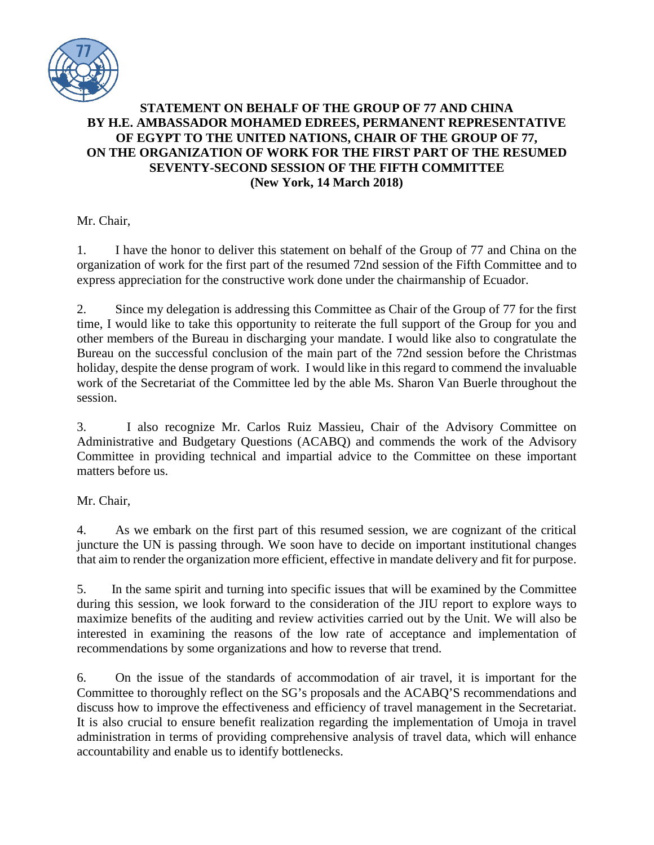

## **STATEMENT ON BEHALF OF THE GROUP OF 77 AND CHINA BY H.E. AMBASSADOR MOHAMED EDREES, PERMANENT REPRESENTATIVE OF EGYPT TO THE UNITED NATIONS, CHAIR OF THE GROUP OF 77, ON THE ORGANIZATION OF WORK FOR THE FIRST PART OF THE RESUMED SEVENTY-SECOND SESSION OF THE FIFTH COMMITTEE (New York, 14 March 2018)**

Mr. Chair,

1. I have the honor to deliver this statement on behalf of the Group of 77 and China on the organization of work for the first part of the resumed 72nd session of the Fifth Committee and to express appreciation for the constructive work done under the chairmanship of Ecuador.

2. Since my delegation is addressing this Committee as Chair of the Group of 77 for the first time, I would like to take this opportunity to reiterate the full support of the Group for you and other members of the Bureau in discharging your mandate. I would like also to congratulate the Bureau on the successful conclusion of the main part of the 72nd session before the Christmas holiday, despite the dense program of work. I would like in this regard to commend the invaluable work of the Secretariat of the Committee led by the able Ms. Sharon Van Buerle throughout the session.

3. I also recognize Mr. Carlos Ruiz Massieu, Chair of the Advisory Committee on Administrative and Budgetary Questions (ACABQ) and commends the work of the Advisory Committee in providing technical and impartial advice to the Committee on these important matters before us.

Mr. Chair,

4. As we embark on the first part of this resumed session, we are cognizant of the critical juncture the UN is passing through. We soon have to decide on important institutional changes that aim to render the organization more efficient, effective in mandate delivery and fit for purpose.

5. In the same spirit and turning into specific issues that will be examined by the Committee during this session, we look forward to the consideration of the JIU report to explore ways to maximize benefits of the auditing and review activities carried out by the Unit. We will also be interested in examining the reasons of the low rate of acceptance and implementation of recommendations by some organizations and how to reverse that trend.

6. On the issue of the standards of accommodation of air travel, it is important for the Committee to thoroughly reflect on the SG's proposals and the ACABQ'S recommendations and discuss how to improve the effectiveness and efficiency of travel management in the Secretariat. It is also crucial to ensure benefit realization regarding the implementation of Umoja in travel administration in terms of providing comprehensive analysis of travel data, which will enhance accountability and enable us to identify bottlenecks.